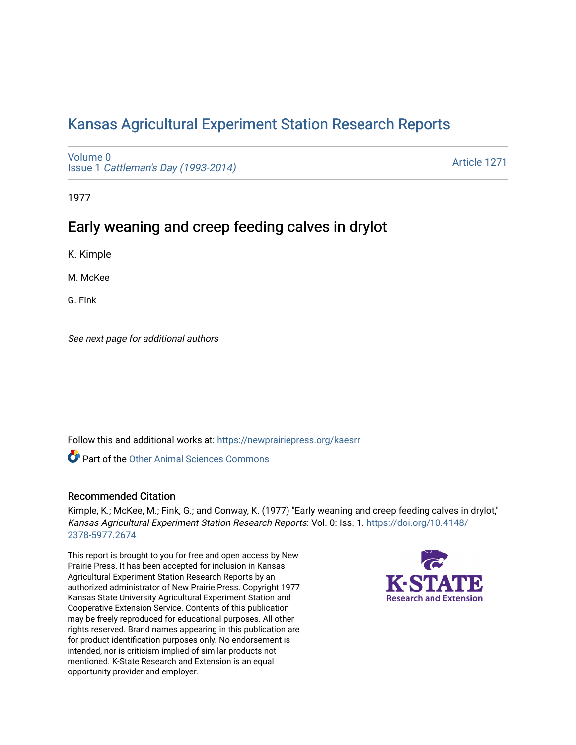# [Kansas Agricultural Experiment Station Research Reports](https://newprairiepress.org/kaesrr)

[Volume 0](https://newprairiepress.org/kaesrr/vol0) Issue 1 [Cattleman's Day \(1993-2014\)](https://newprairiepress.org/kaesrr/vol0/iss1) 

[Article 1271](https://newprairiepress.org/kaesrr/vol0/iss1/1271) 

1977

# Early weaning and creep feeding calves in drylot

K. Kimple

M. McKee

G. Fink

See next page for additional authors

Follow this and additional works at: [https://newprairiepress.org/kaesrr](https://newprairiepress.org/kaesrr?utm_source=newprairiepress.org%2Fkaesrr%2Fvol0%2Fiss1%2F1271&utm_medium=PDF&utm_campaign=PDFCoverPages) 

**C** Part of the [Other Animal Sciences Commons](http://network.bepress.com/hgg/discipline/82?utm_source=newprairiepress.org%2Fkaesrr%2Fvol0%2Fiss1%2F1271&utm_medium=PDF&utm_campaign=PDFCoverPages)

### Recommended Citation

Kimple, K.; McKee, M.; Fink, G.; and Conway, K. (1977) "Early weaning and creep feeding calves in drylot," Kansas Agricultural Experiment Station Research Reports: Vol. 0: Iss. 1. [https://doi.org/10.4148/](https://doi.org/10.4148/2378-5977.2674) [2378-5977.2674](https://doi.org/10.4148/2378-5977.2674) 

This report is brought to you for free and open access by New Prairie Press. It has been accepted for inclusion in Kansas Agricultural Experiment Station Research Reports by an authorized administrator of New Prairie Press. Copyright 1977 Kansas State University Agricultural Experiment Station and Cooperative Extension Service. Contents of this publication may be freely reproduced for educational purposes. All other rights reserved. Brand names appearing in this publication are for product identification purposes only. No endorsement is intended, nor is criticism implied of similar products not mentioned. K-State Research and Extension is an equal opportunity provider and employer.

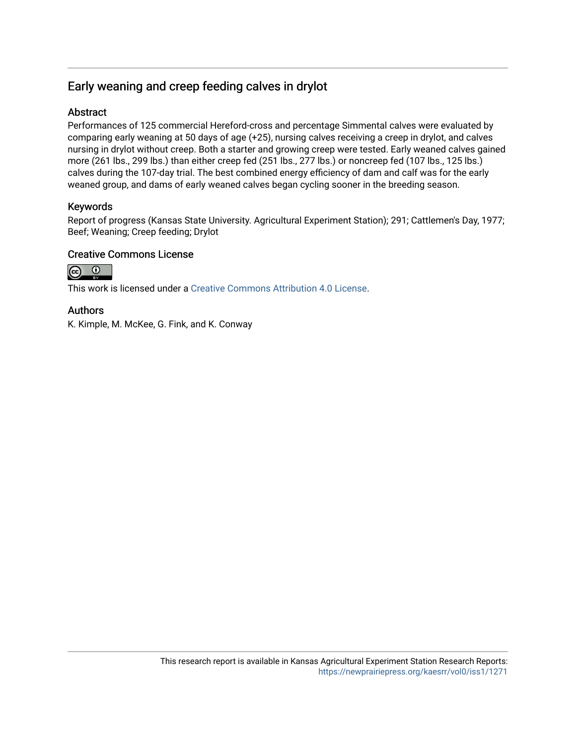## Early weaning and creep feeding calves in drylot

## Abstract

Performances of 125 commercial Hereford-cross and percentage Simmental calves were evaluated by comparing early weaning at 50 days of age (+25), nursing calves receiving a creep in drylot, and calves nursing in drylot without creep. Both a starter and growing creep were tested. Early weaned calves gained more (261 lbs., 299 lbs.) than either creep fed (251 lbs., 277 lbs.) or noncreep fed (107 lbs., 125 lbs.) calves during the 107-day trial. The best combined energy efficiency of dam and calf was for the early weaned group, and dams of early weaned calves began cycling sooner in the breeding season.

### Keywords

Report of progress (Kansas State University. Agricultural Experiment Station); 291; Cattlemen's Day, 1977; Beef; Weaning; Creep feeding; Drylot

### Creative Commons License



This work is licensed under a [Creative Commons Attribution 4.0 License](https://creativecommons.org/licenses/by/4.0/).

### Authors

K. Kimple, M. McKee, G. Fink, and K. Conway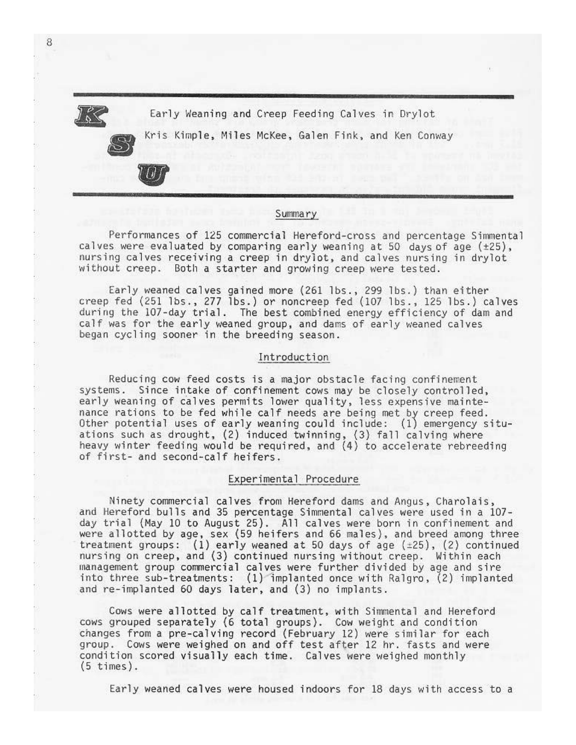8

Early Weaning and Creep Feeding Calves in Drylot

Kris Kimple, Miles McKee, Galen Fink, and Ken Conway

#### Summary

Performances of 125 commercial Hereford-cross and percentage Simmental calves were evaluated by comparing early weaning at 50 days of age (±25), nursing calves receiving a creep in drylot, and calves nursing in drylot without creep. Both a starter and growing creep were tested.

Early weaned calves gained more (261 lbs., 299 lbs.) than either creep fed (251 lbs., 277 lbs.) or noncreep fed (107 lbs., 125 lbs.) calves during the 107-day trial. The best combined energy efficiency of dam and calf was for the early weaned group, and dams of early weaned calves began cycling sooner in the breeding season.

#### Introduction

Reducing cow feed costs is a major obstacle facing confinement systems. Since intake of confinement cows may be closely controlled, early weaning of calves permits lower quality, less expensive maintenance rations to be fed while calf needs are being met by creep feed. Other potential uses of early weaning could include: (1) emergency situations such as drought, (2) induced twinning, (3) fall calving where heavy winter feeding would be required, and (4) to accelerate rebreeding of first- and second-calf heifers.

#### Experimental Procedure

Ninety commercial calves from Hereford dams and Angus, Charolais, and Hereford bulls and 35 percentage Simmental calves were used in a 107day trial (May 10 to August 25). All calves were born in confinement and were allotted by age, sex (59 heifers and 66 males), and breed among three treatment groups:  $(1)$  early weaned at 50 days of age  $(±25)$ ,  $(2)$  continued nursing on creep, and (3) continued nursing without creep. Within each management group commercial calves were further divided by age and sire into three sub-treatments:  $(1)$  implanted once with Ralgro,  $(2)$  implanted and re-implanted 60 days later, and (3) no implants.

Cows were allotted by calf treatment, with Simmental and Hereford cows grouped separately (6 total groups). Cow weight and condition changes from a pre-calving record (February 12) were similar for each group. Cows were weighed on and off test after 12 hr. fasts and were condition scored visually each time. Calves were weighed monthly  $(5 \times)$ .

Early weaned calves were housed indoors for 18 days with access to a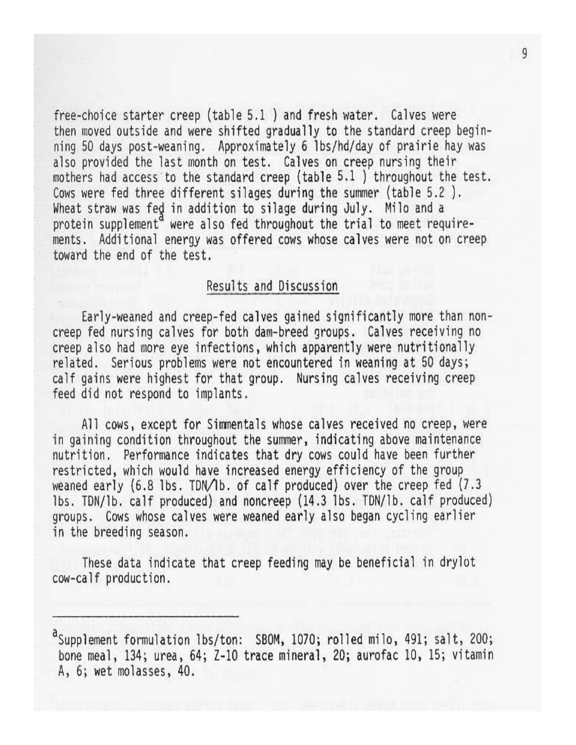free-choice starter creep (table 5.1) and fresh water. Calves were then moved outside and were shifted gradually to the standard creep beginning 50 days post-weaning. Approximately 6 lbs/hd/day of prairie hay was also provided the last month on test. Calves on creep nursing their mothers had access to the standard creep (table 5.1) throughout the test. Cows were fed three different silages during the summer (table 5.2). Wheat straw was fed in addition to silage during July. Milo and a protein supplement<sup>a</sup> were also fed throughout the trial to meet requirements. Additional energy was offered cows whose calves were not on creep toward the end of the test.

## Results and Discussion

Early-weaned and creep-fed calves gained significantly more than noncreep fed nursing calves for both dam-breed groups. Calves receiving no creep also had more eye infections, which apparently were nutritionally related. Serious problems were not encountered in weaning at 50 days; calf gains were highest for that group. Nursing calves receiving creep feed did not respond to implants.

All cows, except for Simmentals whose calves received no creep, were in gaining condition throughout the summer, indicating above maintenance nutrition. Performance indicates that dry cows could have been further restricted, which would have increased energy efficiency of the group weaned early  $(6.8$  lbs. TDN/lb. of calf produced) over the creep fed  $(7.3)$ lbs. TDN/1b. calf produced) and noncreep (14.3 lbs. TDN/1b. calf produced) groups. Cows whose calves were weaned early also began cycling earlier in the breeding season.

These data indicate that creep feeding may be beneficial in drylot cow-calf production.

<sup>&</sup>lt;sup>a</sup>Supplement formulation lbs/ton: SBOM, 1070; rolled milo, 491; salt, 200; bone meal, 134; urea, 64; Z-10 trace mineral, 20; aurofac 10, 15; vitamin A, 6; wet molasses, 40.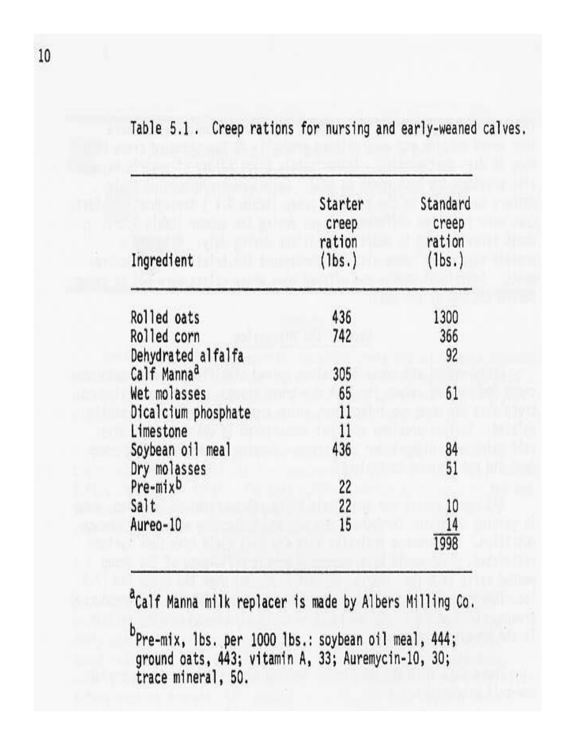| Ingredient              | Starter<br>creep<br>ration<br>(1bs.) | Standard<br>creep<br>ration<br>(lbs.) |  |
|-------------------------|--------------------------------------|---------------------------------------|--|
| Rolled oats             | 436                                  | 1300                                  |  |
| Rolled corn             | 742                                  | 366                                   |  |
| Dehydrated alfalfa      |                                      | 92                                    |  |
| Calf Manna <sup>d</sup> | 305                                  |                                       |  |
| Wet molasses            | 65                                   | 61                                    |  |
| Dicalcium phosphate     | 11                                   |                                       |  |
| Limestone               | 11                                   |                                       |  |
| Soybean oil meal        | 436                                  | 84                                    |  |
| Dry molasses            |                                      | 51                                    |  |
| Pre-mixb                | 22                                   |                                       |  |
| Salt                    | 22                                   | 10                                    |  |
| Aureo-10                | 15                                   | 14                                    |  |
|                         |                                      | 1998                                  |  |

Table 5.1. Creep rations for nursing and early-weaned calves.

<sup>a</sup>Calf Manna milk replacer is made by Albers Milling Co.

 $b_{Pre-mix, 1bs. per 1000 1bs.: soybean oil meal, 444; ground oats, 443; vitamin A, 33; Auremycin-10, 30; trace mineral, 50.$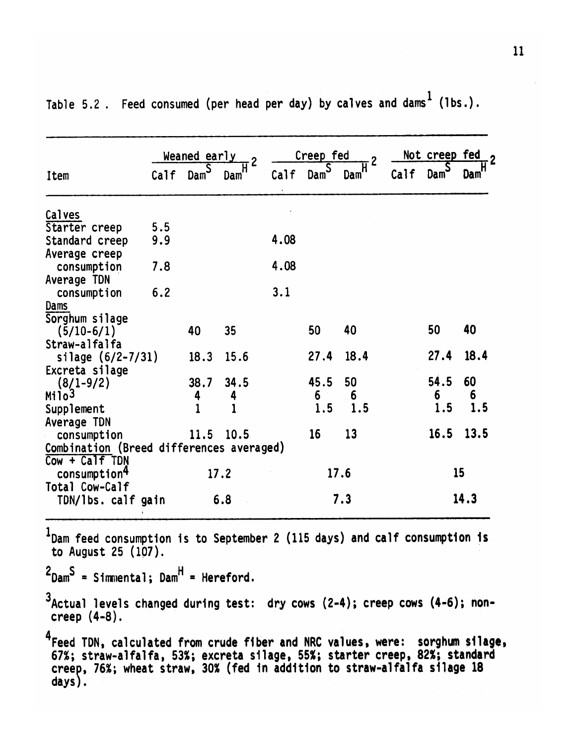|                                          |      | Weaned early<br>$\overline{2}$ |      | Creep fed<br>$\overline{2}$ |                             |      | Not creep fed<br>$\cdot$ 2 |                  |            |
|------------------------------------------|------|--------------------------------|------|-----------------------------|-----------------------------|------|----------------------------|------------------|------------|
| Item                                     | Calf | $\texttt{Dam}^{\textsf{S}}$    | Dam  | Calf                        | $\texttt{Dam}^{\textsf{S}}$ | Dam  | Calf                       | Dam <sup>S</sup> | <b>Dam</b> |
| Calves                                   |      |                                |      |                             |                             |      |                            |                  |            |
| Starter creep                            | 5.5  |                                |      |                             |                             |      |                            |                  |            |
| Standard creep                           | 9.9  |                                |      | 4.08                        |                             |      |                            |                  |            |
| Average creep                            |      |                                |      |                             |                             |      |                            |                  |            |
| consumption                              | 7.8  |                                |      | 4.08                        |                             |      |                            |                  |            |
| Average TDN                              |      |                                |      |                             |                             |      |                            |                  |            |
| consumption                              | 6.2  |                                |      | 3.1                         |                             |      |                            |                  |            |
| Dams                                     |      |                                |      |                             |                             |      |                            |                  |            |
| Sorghum silage                           |      |                                |      |                             |                             |      |                            |                  |            |
| $(5/10-6/1)$                             |      | 40                             | 35   |                             | 50                          | 40   |                            | 50               | 40         |
| Straw-alfalfa                            |      |                                |      |                             |                             |      |                            |                  |            |
| silage $(6/2 - 7/31)$                    |      | 18.3                           | 15.6 |                             | 27.4                        | 18.4 |                            | 27.4             | 18.4       |
| Excreta silage                           |      |                                |      |                             |                             |      |                            |                  |            |
| $(8/1 - 9/2)$                            |      | 38.7                           | 34.5 |                             | 45.5                        | 50   |                            | 54.5             | 60         |
| Milo <sup>3</sup>                        |      | 4                              | 4    |                             | 6                           | 6    |                            | 6                | 6          |
| Supplement                               |      |                                |      |                             | 1.5                         | 1.5  |                            | 1.5              | 1.5        |
| Average TDN                              |      |                                |      |                             |                             |      |                            |                  |            |
| consumption                              |      | 11.5                           | 10.5 |                             | 16                          | 13   |                            | 16.5             | 13.5       |
| Combination (Breed differences averaged) |      |                                |      |                             |                             |      |                            |                  |            |
| Cow + Calf TDN                           |      |                                |      |                             |                             |      |                            |                  |            |
| consumption <sup>4</sup>                 |      |                                | 17.2 |                             |                             | 17.6 |                            |                  | 15         |
| Total Cow-Calf                           |      |                                |      |                             |                             |      |                            |                  |            |
| TDN/lbs. calf gain                       |      |                                | 6.8  |                             |                             | 7.3  |                            |                  | 14.3       |

Table 5.2. Feed consumed (per head per day) by calves and dams<sup>1</sup> (lbs.).

 $1$ Dam feed consumption is to September 2 (115 days) and calf consumption is to August 25 (107).

 $2$ Dam<sup>S</sup> = Simmental; Dam<sup>H</sup> = Hereford.

3Actual levels changed during test: dry cows (2-4); creep cows (4-6); noncreep (4-8).

<sup>4</sup>Feed TDN, calculated from crude fiber and NRC values, were: sorghum silage,<br>67%; straw-alfalfa, 53%; excreta silage, 55%; starter creep, 82%; standard<br>creep, 76%; wheat straw, 30% (fed in addition to straw-alfalfa silag  $days)$ .